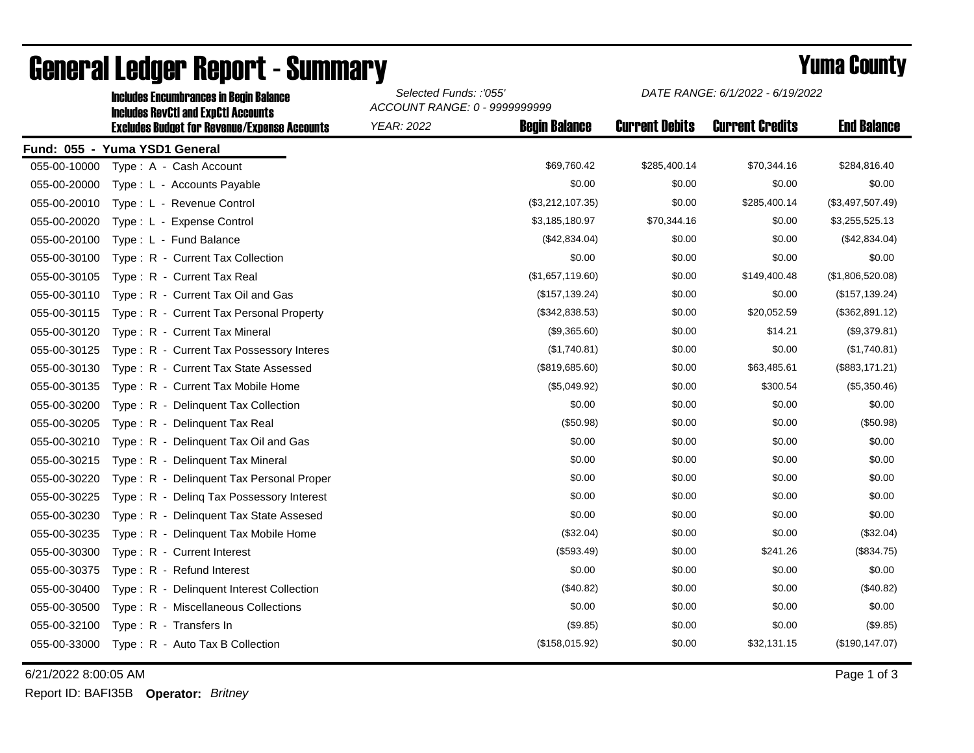|                                                           | ACCOUNT RANGE: 0 - 9999999999              |                      |                       |                        |                    |  |
|-----------------------------------------------------------|--------------------------------------------|----------------------|-----------------------|------------------------|--------------------|--|
| <b>Excludes Budget for Revenue/Expense Accounts</b>       | <b>YEAR: 2022</b>                          | <b>Begin Balance</b> | <b>Current Debits</b> | <b>Current Credits</b> | <b>End Balance</b> |  |
| Fund: 055 - Yuma YSD1 General                             |                                            |                      |                       |                        |                    |  |
| 055-00-10000<br>Type: A - Cash Account                    |                                            | \$69,760.42          | \$285,400.14          | \$70,344.16            | \$284,816.40       |  |
| 055-00-20000<br>Type: L - Accounts Payable                |                                            | \$0.00               | \$0.00                | \$0.00                 | \$0.00             |  |
| 055-00-20010<br>Type: L - Revenue Control                 |                                            | (\$3,212,107.35)     | \$0.00                | \$285,400.14           | (\$3,497,507.49)   |  |
| 055-00-20020<br>Type: L - Expense Control                 |                                            | \$3,185,180.97       | \$70,344.16           | \$0.00                 | \$3,255,525.13     |  |
| 055-00-20100<br>Type: L - Fund Balance                    |                                            | (\$42,834.04)        | \$0.00                | \$0.00                 | (\$42,834.04)      |  |
| 055-00-30100<br>Type: R - Current Tax Collection          |                                            | \$0.00               | \$0.00                | \$0.00                 | \$0.00             |  |
| 055-00-30105<br>Type: R - Current Tax Real                |                                            | (\$1,657,119.60)     | \$0.00                | \$149,400.48           | (\$1,806,520.08)   |  |
| 055-00-30110<br>Type: R - Current Tax Oil and Gas         |                                            | (\$157, 139.24)      | \$0.00                | \$0.00                 | (\$157, 139.24)    |  |
| 055-00-30115<br>Type: R - Current Tax Personal Property   |                                            | (\$342,838.53)       | \$0.00                | \$20,052.59            | (\$362,891.12)     |  |
| 055-00-30120<br>Type: R - Current Tax Mineral             |                                            | (\$9,365.60)         | \$0.00                | \$14.21                | (\$9,379.81)       |  |
| 055-00-30125<br>Type: R - Current Tax Possessory Interes  |                                            | (\$1,740.81)         | \$0.00                | \$0.00                 | (\$1,740.81)       |  |
| 055-00-30130<br>Type: R - Current Tax State Assessed      |                                            | (\$819,685.60)       | \$0.00                | \$63,485.61            | (\$883, 171.21)    |  |
| 055-00-30135<br>Type: R - Current Tax Mobile Home         |                                            | (\$5,049.92)         | \$0.00                | \$300.54               | (\$5,350.46)       |  |
| 055-00-30200<br>Type: R - Delinquent Tax Collection       |                                            | \$0.00               | \$0.00                | \$0.00                 | \$0.00             |  |
| 055-00-30205<br>Type: R - Delinquent Tax Real             |                                            | (\$50.98)            | \$0.00                | \$0.00                 | (\$50.98)          |  |
| 055-00-30210<br>Type: R - Delinquent Tax Oil and Gas      |                                            | \$0.00               | \$0.00                | \$0.00                 | \$0.00             |  |
| 055-00-30215<br>Type: R - Delinquent Tax Mineral          |                                            | \$0.00               | \$0.00                | \$0.00                 | \$0.00             |  |
| 055-00-30220<br>Type: R - Delinquent Tax Personal Proper  |                                            | \$0.00               | \$0.00                | \$0.00                 | \$0.00             |  |
| 055-00-30225<br>Type: R - Deling Tax Possessory Interest  |                                            | \$0.00               | \$0.00                | \$0.00                 | \$0.00             |  |
| 055-00-30230<br>Type: R - Delinquent Tax State Assesed    |                                            | \$0.00               | \$0.00                | \$0.00                 | \$0.00             |  |
| 055-00-30235<br>Delinquent Tax Mobile Home<br>Type: $R -$ |                                            | (\$32.04)            | \$0.00                | \$0.00                 | (\$32.04)          |  |
| 055-00-30300<br>Type: R - Current Interest                |                                            | (\$593.49)           | \$0.00                | \$241.26               | (\$834.75)         |  |
| 055-00-30375<br>Type: R - Refund Interest                 |                                            | \$0.00               | \$0.00                | \$0.00                 | \$0.00             |  |
| 055-00-30400<br>Type: R - Delinquent Interest Collection  |                                            | (\$40.82)            | \$0.00                | \$0.00                 | (\$40.82)          |  |
| 055-00-30500<br>Type: R - Miscellaneous Collections       |                                            | \$0.00               | \$0.00                | \$0.00                 | \$0.00             |  |
| 055-00-32100<br>Type: R - Transfers In                    |                                            | (\$9.85)             | \$0.00                | \$0.00                 | (\$9.85)           |  |
| 055-00-33000<br>Type: R - Auto Tax B Collection           |                                            | (\$158,015.92)       | \$0.00                | \$32,131.15            | (\$190, 147.07)    |  |
|                                                           | <b>Includes RevCtI and ExpCtI Accounts</b> |                      |                       |                        |                    |  |

## General Ledger Report - Summary **Example 2018** Yuma County

Includes Encumbrances in Begin Balance *Selected Funds: :'055'*

6/21/2022 8:00:05 AM Page 1 of 3

Report ID: BAFI35B **Operator:** *Britney*

*DATE RANGE: 6/1/2022 - 6/19/2022*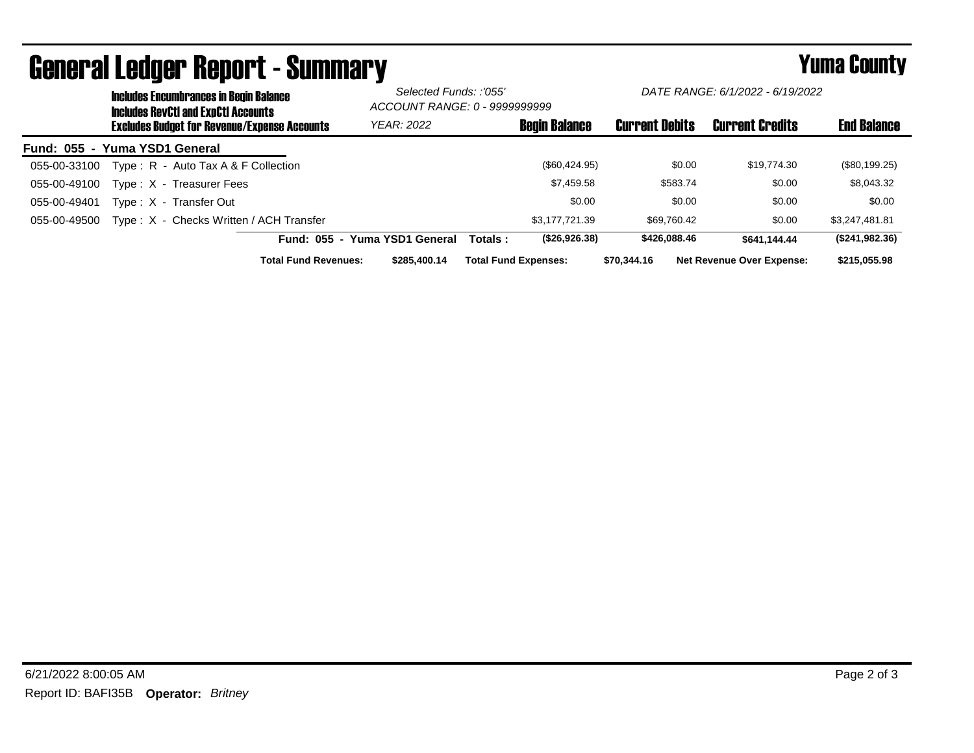|                               | <b>Includes Encumbrances in Begin Balance</b><br><b>Includes RevCtI and ExpCtI Accounts</b> |                                                     | Selected Funds: :'055'<br>ACCOUNT RANGE: 0 - 9999999999 |                               | DATE RANGE: 6/1/2022 - 6/19/2022 |                             |                       |                                  |                    |
|-------------------------------|---------------------------------------------------------------------------------------------|-----------------------------------------------------|---------------------------------------------------------|-------------------------------|----------------------------------|-----------------------------|-----------------------|----------------------------------|--------------------|
|                               |                                                                                             | <b>Excludes Budget for Revenue/Expense Accounts</b> |                                                         | <b>YEAR: 2022</b>             |                                  | <b>Begin Balance</b>        | <b>Current Debits</b> | <b>Current Credits</b>           | <b>End Balance</b> |
| Fund: 055 - Yuma YSD1 General |                                                                                             |                                                     |                                                         |                               |                                  |                             |                       |                                  |                    |
| 055-00-33100                  |                                                                                             | Type: R - Auto Tax A & F Collection                 |                                                         |                               |                                  | $(\$60,424.95)$             | \$0.00                | \$19,774.30                      | (\$80,199.25)      |
| 055-00-49100                  |                                                                                             | Type: X - Treasurer Fees                            |                                                         |                               |                                  | \$7,459.58                  | \$583.74              | \$0.00                           | \$8,043.32         |
| 055-00-49401                  |                                                                                             | Type: X - Transfer Out                              |                                                         |                               |                                  | \$0.00                      | \$0.00                | \$0.00                           | \$0.00             |
| 055-00-49500                  |                                                                                             | Type: X - Checks Written / ACH Transfer             |                                                         |                               |                                  | \$3.177.721.39              | \$69.760.42           | \$0.00                           | \$3,247,481.81     |
|                               |                                                                                             |                                                     |                                                         | Fund: 055 - Yuma YSD1 General | Totals :                         | (\$26,926.38)               | \$426,088,46          | \$641.144.44                     | (\$241,982.36)     |
|                               |                                                                                             |                                                     | <b>Total Fund Revenues:</b>                             | \$285,400.14                  |                                  | <b>Total Fund Expenses:</b> | \$70,344,16           | <b>Net Revenue Over Expense:</b> | \$215.055.98       |

## General Ledger Report - Summary **Example 2018** Yuma County